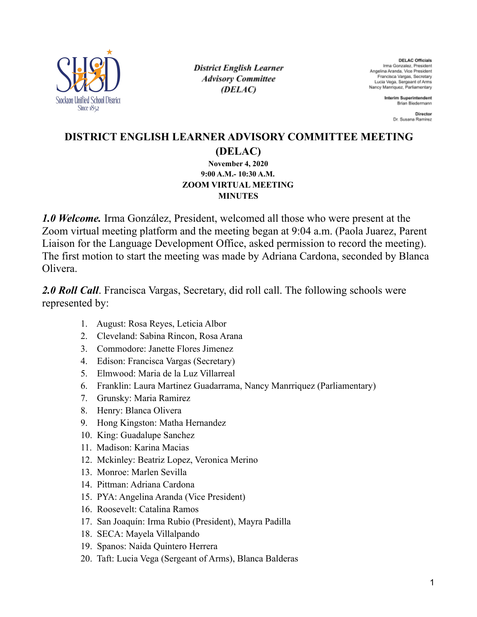

**District English Learner Advisory Committee** (DELAC)

**DELAC Officials** Irma Gonzalez, President Angelina Aranda, Vice President Francisca Vargas, Secretary Lucia Vega, Sergeant of Arms Nancy Manriquez, Parliamentary

> **Interim Superintendent** Brian Biedermann

> > Director Dr. Susana Ramirez

## **DISTRICT ENGLISH LEARNER ADVISORY COMMITTEE MEETING (DELAC)**

#### **November 4, 2020 9:00 A.M.- 10:30 A.M. ZOOM VIRTUAL MEETING MINUTES**

*1.0 Welcome.* Irma González, President, welcomed all those who were present at the Zoom virtual meeting platform and the meeting began at 9:04 a.m. (Paola Juarez, Parent Liaison for the Language Development Office, asked permission to record the meeting). The first motion to start the meeting was made by Adriana Cardona, seconded by Blanca Olivera.

2.0 *Roll Call*. Francisca Vargas, Secretary, did roll call. The following schools were represented by:

- 1. August: Rosa Reyes, Leticia Albor
- 2. Cleveland: Sabina Rincon, Rosa Arana
- 3. Commodore: Janette Flores Jimenez
- 4. Edison: Francisca Vargas (Secretary)
- 5. Elmwood: Maria de la Luz Villarreal
- 6. Franklin: Laura Martinez Guadarrama, Nancy Manrriquez (Parliamentary)
- 7. Grunsky: Maria Ramirez
- 8. Henry: Blanca Olivera
- 9. Hong Kingston: Matha Hernandez
- 10. King: Guadalupe Sanchez
- 11. Madison: Karina Macias
- 12. Mckinley: Beatriz Lopez, Veronica Merino
- 13. Monroe: Marlen Sevilla
- 14. Pittman: Adriana Cardona
- 15. PYA: Angelina Aranda (Vice President)
- 16. Roosevelt: Catalina Ramos
- 17. San Joaquín: Irma Rubio (President), Mayra Padilla
- 18. SECA: Mayela Villalpando
- 19. Spanos: Naida Quintero Herrera
- 20. Taft: Lucia Vega (Sergeant of Arms), Blanca Balderas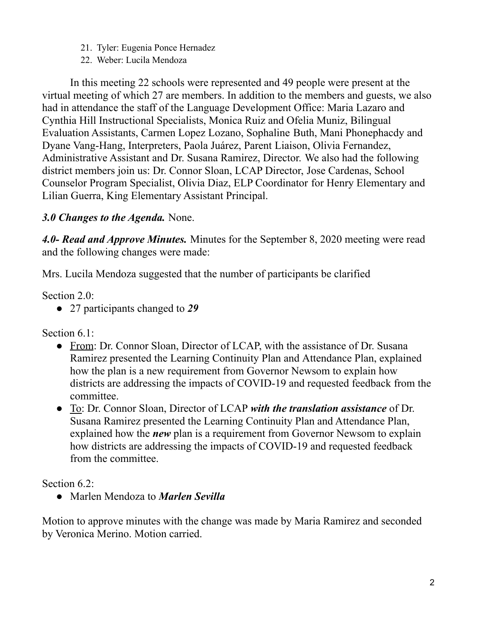- 21. Tyler: Eugenia Ponce Hernadez
- 22. Weber: Lucila Mendoza

In this meeting 22 schools were represented and 49 people were present at the virtual meeting of which 27 are members. In addition to the members and guests, we also had in attendance the staff of the Language Development Office: Maria Lazaro and Cynthia Hill Instructional Specialists, Monica Ruiz and Ofelia Muniz, Bilingual Evaluation Assistants, Carmen Lopez Lozano, Sophaline Buth, Mani Phonephacdy and Dyane Vang-Hang, Interpreters, Paola Juárez, Parent Liaison, Olivia Fernandez, Administrative Assistant and Dr. Susana Ramirez, Director. We also had the following district members join us: Dr. Connor Sloan, LCAP Director, Jose Cardenas, School Counselor Program Specialist, Olivia Diaz, ELP Coordinator for Henry Elementary and Lilian Guerra, King Elementary Assistant Principal.

# *3.0 Changes to the Agenda.* None.

*4.0- Read and Approve Minutes.* Minutes for the September 8, 2020 meeting were read and the following changes were made:

Mrs. Lucila Mendoza suggested that the number of participants be clarified

Section 2.0:

● 27 participants changed to *29*

Section 6.1:

- From: Dr. Connor Sloan, Director of LCAP, with the assistance of Dr. Susana Ramirez presented the Learning Continuity Plan and Attendance Plan, explained how the plan is a new requirement from Governor Newsom to explain how districts are addressing the impacts of COVID-19 and requested feedback from the committee.
- To: Dr. Connor Sloan, Director of LCAP *with the translation assistance* of Dr. Susana Ramirez presented the Learning Continuity Plan and Attendance Plan, explained how the *new* plan is a requirement from Governor Newsom to explain how districts are addressing the impacts of COVID-19 and requested feedback from the committee.

Section 6.2:

● Marlen Mendoza to *Marlen Sevilla*

Motion to approve minutes with the change was made by Maria Ramirez and seconded by Veronica Merino. Motion carried.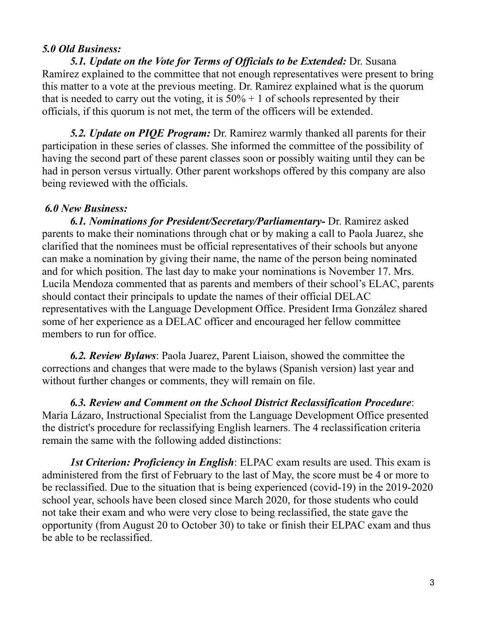### *5.0 Old Business:*

*5.1. Update on the Vote for Terms of Of icials to be Extended:* Dr. Susana Ramírez explained to the committee that not enough representatives were present to bring this matter to a vote at the previous meeting. Dr. Ramirez explained what is the quorum that is needed to carry out the voting, it is  $50\% + 1$  of schools represented by their officials, if this quorum is not met, the term of the officers will be extended.

*5.2. Update on PIQE Program:* Dr. Ramirez warmly thanked all parents for their participation in these series of classes. She informed the committee of the possibility of having the second part of these parent classes soon or possibly waiting until they can be had in person versus virtually. Other parent workshops offered by this company are also being reviewed with the officials.

#### *6.0 New Business:*

*6.1. Nominations for President/Secretary/Parliamentary-* Dr. Ramirez asked parents to make their nominations through chat or by making a call to Paola Juarez, she clarified that the nominees must be official representatives of their schools but anyone can make a nomination by giving their name, the name of the person being nominated and for which position. The last day to make your nominations is November 17. Mrs. Lucila Mendoza commented that as parents and members of their school's ELAC, parents should contact their principals to update the names of their official DELAC representatives with the Language Development Office. President Irma González shared some of her experience as a DELAC officer and encouraged her fellow committee members to run for office.

*6.2. Review Bylaws*: Paola Juarez, Parent Liaison, showed the committee the corrections and changes that were made to the bylaws (Spanish version) last year and without further changes or comments, they will remain on file.

*6.3. Review and Comment on the School District Reclassification Procedure*: María Lázaro, Instructional Specialist from the Language Development Office presented the district's procedure for reclassifying English learners. The 4 reclassification criteria remain the same with the following added distinctions:

*1st Criterion: Proficiency in English*: ELPAC exam results are used. This exam is administered from the first of February to the last of May, the score must be 4 or more to be reclassified. Due to the situation that is being experienced (covid-19) in the 2019-2020 school year, schools have been closed since March 2020, for those students who could not take their exam and who were very close to being reclassified, the state gave the opportunity (from August 20 to October 30) to take or finish their ELPAC exam and thus be able to be reclassified.